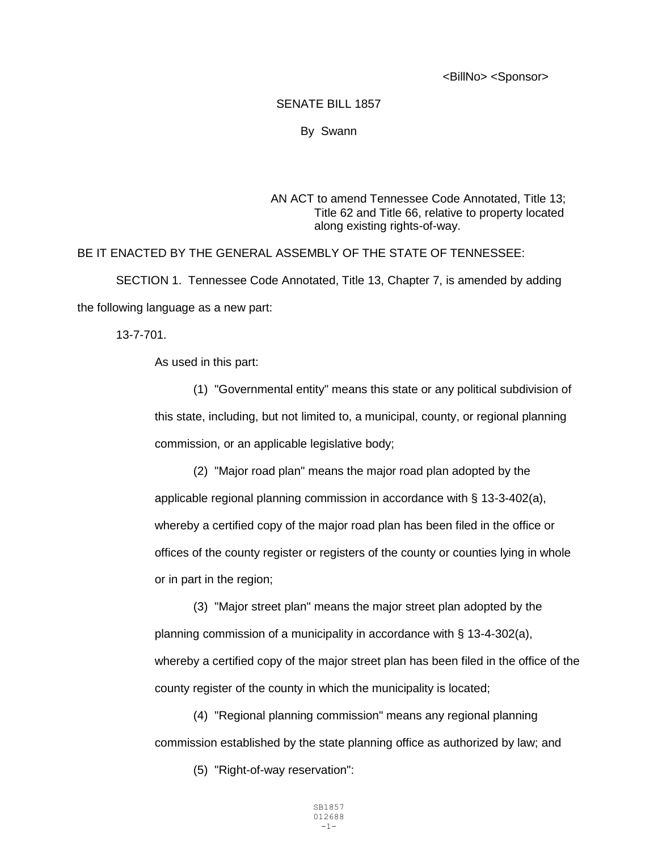<BillNo> <Sponsor>

## SENATE BILL 1857

## By Swann

## AN ACT to amend Tennessee Code Annotated, Title 13; Title 62 and Title 66, relative to property located along existing rights-of-way.

## BE IT ENACTED BY THE GENERAL ASSEMBLY OF THE STATE OF TENNESSEE:

SECTION 1. Tennessee Code Annotated, Title 13, Chapter 7, is amended by adding the following language as a new part:

13-7-701.

As used in this part:

(1) "Governmental entity" means this state or any political subdivision of this state, including, but not limited to, a municipal, county, or regional planning commission, or an applicable legislative body;

(2) "Major road plan" means the major road plan adopted by the applicable regional planning commission in accordance with § 13-3-402(a), whereby a certified copy of the major road plan has been filed in the office or offices of the county register or registers of the county or counties lying in whole or in part in the region;

(3) "Major street plan" means the major street plan adopted by the planning commission of a municipality in accordance with § 13-4-302(a), whereby a certified copy of the major street plan has been filed in the office of the county register of the county in which the municipality is located;

(4) "Regional planning commission" means any regional planning commission established by the state planning office as authorized by law; and

(5) "Right-of-way reservation":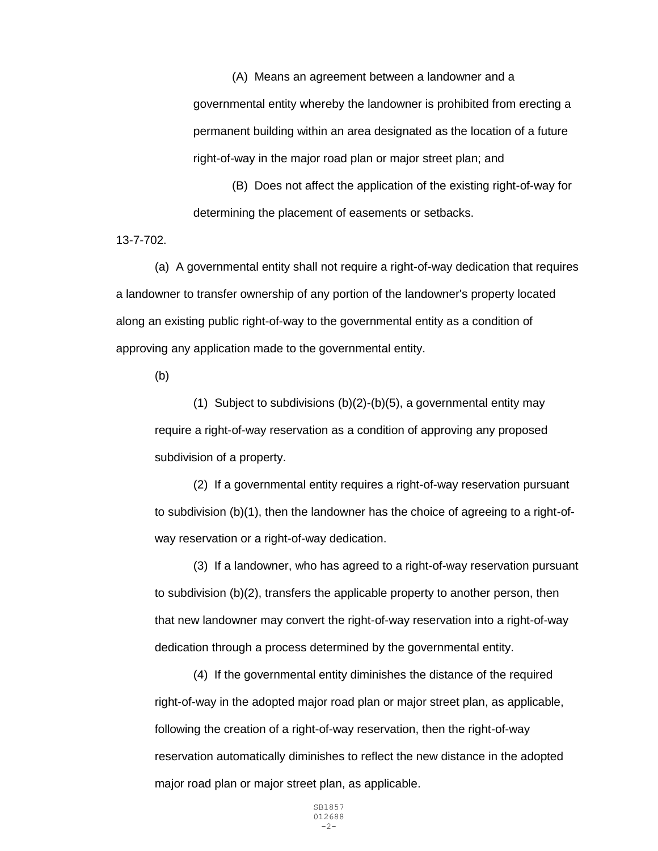(A) Means an agreement between a landowner and a governmental entity whereby the landowner is prohibited from erecting a permanent building within an area designated as the location of a future right-of-way in the major road plan or major street plan; and

(B) Does not affect the application of the existing right-of-way for determining the placement of easements or setbacks.

13-7-702.

(a) A governmental entity shall not require a right-of-way dedication that requires a landowner to transfer ownership of any portion of the landowner's property located along an existing public right-of-way to the governmental entity as a condition of approving any application made to the governmental entity.

(b)

(1) Subject to subdivisions  $(b)(2)-(b)(5)$ , a governmental entity may require a right-of-way reservation as a condition of approving any proposed subdivision of a property.

(2) If a governmental entity requires a right-of-way reservation pursuant to subdivision (b)(1), then the landowner has the choice of agreeing to a right-ofway reservation or a right-of-way dedication.

(3) If a landowner, who has agreed to a right-of-way reservation pursuant to subdivision (b)(2), transfers the applicable property to another person, then that new landowner may convert the right-of-way reservation into a right-of-way dedication through a process determined by the governmental entity.

(4) If the governmental entity diminishes the distance of the required right-of-way in the adopted major road plan or major street plan, as applicable, following the creation of a right-of-way reservation, then the right-of-way reservation automatically diminishes to reflect the new distance in the adopted major road plan or major street plan, as applicable.